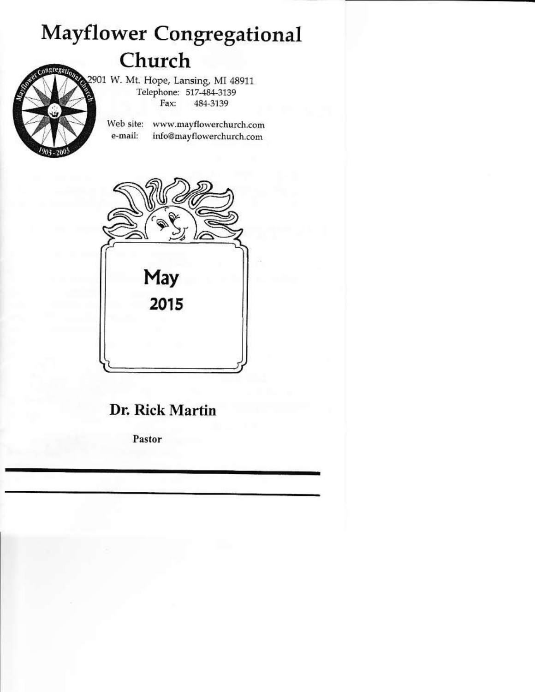# **Mayflower Congregational** Church



2901 W. Mt. Hope, Lansing, MI 48911 Telephone: 517-484-3139 Fax: 484-3139

Web site: www.mayflowerchurch.com e-mail: info@mayflowerchurch.com



### Dr. Rick Martin

Pastor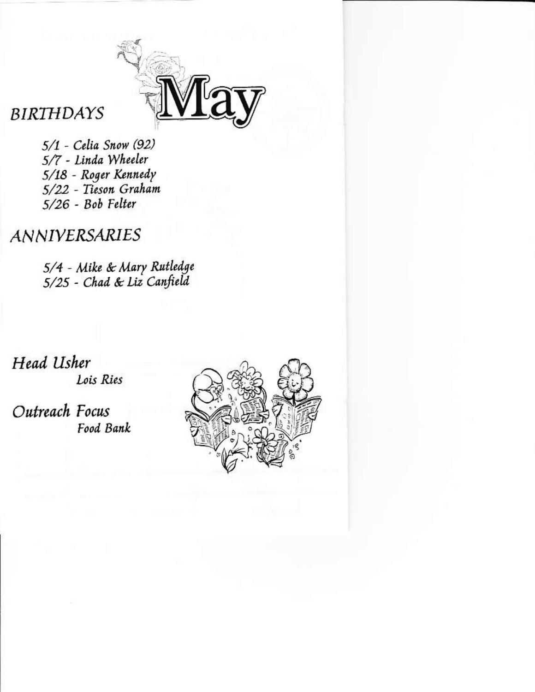

# BIRTHDAYS

5/1 - Celia Snow (92) 5/7 - Linda Wheeler 5/18 - Roger Kennedy 5/22 - Tieson Graham 5/26 - Bob Felter

## **ANNIVERSARIES**

5/4 - Mike & Mary Rutledge 5/25 - Chad & Liz Canfield

Head Usher Lois Ries

Outreach Focus Food Bank

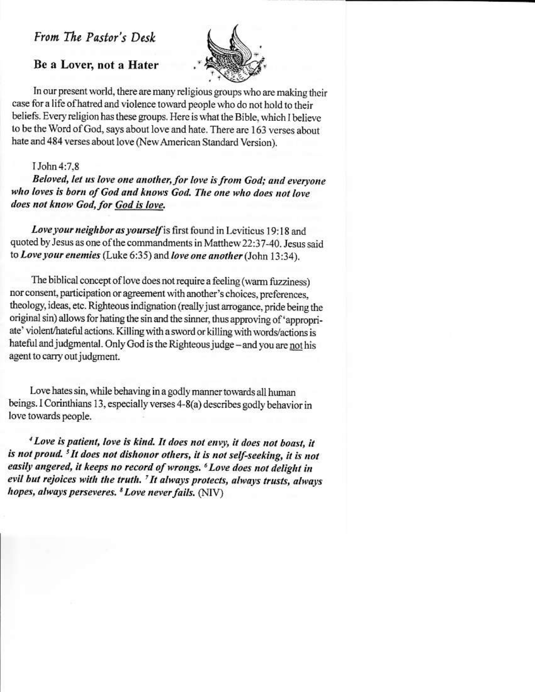#### From The Pastor's Desk

#### Be a Lover, not a Hater



In our present world, there are many religious groups who are making their case for a life of hatred and violence toward people who do not hold to their beliefs. Every religion has these groups. Here is what the Bible, which I believe to be the Word of God, says about love and hate. There are 163 verses about hate and 484 verses about love (New American Standard Version).

#### I John 4:7.8

Beloved, let us love one another, for love is from God; and everyone who loves is born of God and knows God. The one who does not love does not know God, for God is love.

Love your neighbor as yourself is first found in Leviticus 19:18 and quoted by Jesus as one of the commandments in Matthew 22:37-40. Jesus said to Love your enemies (Luke 6:35) and love one another (John 13:34).

The biblical concept of love does not require a feeling (warm fuzziness) nor consent, participation or agreement with another's choices, preferences, theology, ideas, etc. Righteous indignation (really just arrogance, pride being the original sin) allows for hating the sin and the sinner, thus approving of 'appropriate' violent/hateful actions. Killing with a sword or killing with words/actions is hateful and judgmental. Only God is the Righteous judge - and you are not his agent to carry out judgment.

Love hates sin, while behaving in a godly manner towards all human beings. I Corinthians 13, especially verses 4-8(a) describes godly behavior in love towards people.

<sup>4</sup> Love is patient, love is kind. It does not envy, it does not boast, it is not proud. <sup>5</sup> It does not dishonor others, it is not self-seeking, it is not easily angered, it keeps no record of wrongs. <sup>6</sup> Love does not delight in evil but rejoices with the truth. 'It always protects, always trusts, always hopes, always perseveres. <sup>8</sup> Love never fails. (NIV)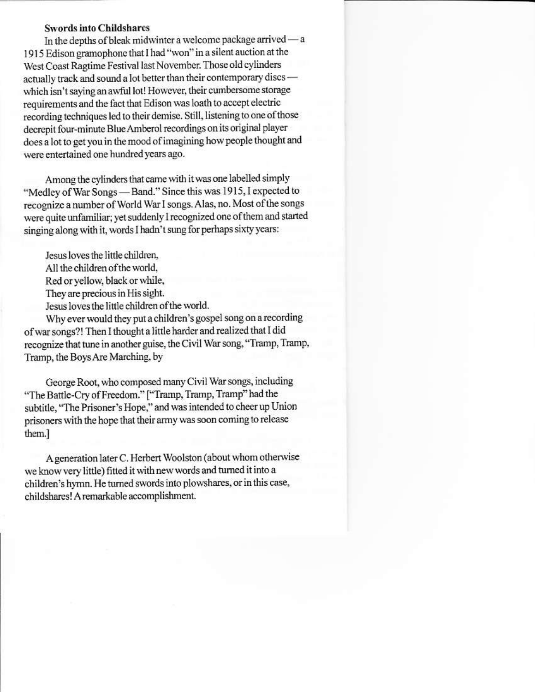#### **Swords into Childshares**

In the depths of bleak midwinter a welcome package arrived  $-a$ 1915 Edison gramophone that I had "won" in a silent auction at the West Coast Ragtime Festival last November. Those old cylinders actually track and sound a lot better than their contemporary discswhich isn't saying an awful lot! However, their cumbersome storage requirements and the fact that Edison was loath to accept electric recording techniques led to their demise. Still, listening to one of those decrepit four-minute Blue Amberol recordings on its original player does a lot to get you in the mood of imagining how people thought and were entertained one hundred years ago.

Among the cylinders that came with it was one labelled simply "Medley of War Songs - Band." Since this was 1915, I expected to recognize a number of World War I songs. Alas, no. Most of the songs were quite unfamiliar; yet suddenly I recognized one of them and started singing along with it, words I hadn't sung for perhaps sixty years:

Jesus loves the little children. All the children of the world. Red or yellow, black or while, They are precious in His sight. Jesus loves the little children of the world. Why ever would they put a children's gospel song on a recording

of war songs?! Then I thought a little harder and realized that I did recognize that tune in another guise, the Civil War song, "Tramp, Tramp, Tramp, the Boys Are Marching, by

George Root, who composed many Civil War songs, including "The Battle-Cry of Freedom." ["Tramp, Tramp, Tramp" had the subtitle, "The Prisoner's Hope," and was intended to cheer up Union prisoners with the hope that their army was soon coming to release them.]

A generation later C. Herbert Woolston (about whom otherwise we know very little) fitted it with new words and turned it into a children's hymn. He turned swords into plowshares, or in this case, childshares! A remarkable accomplishment.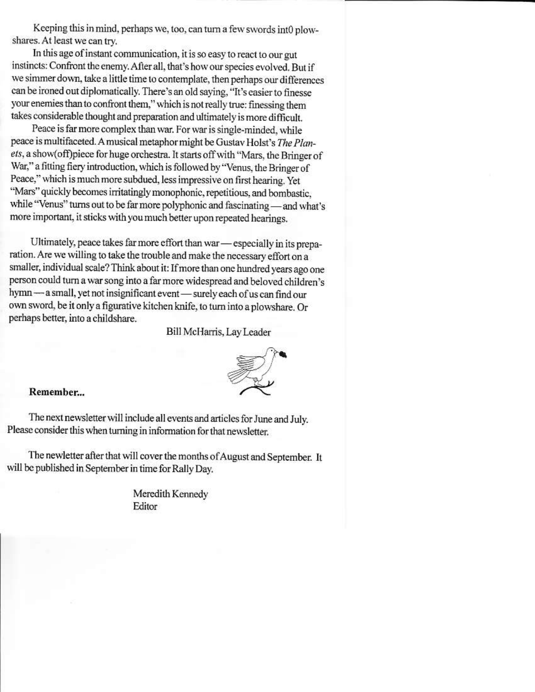Keeping this in mind, perhaps we, too, can turn a few swords int0 plowshares. At least we can trv.

In this age of instant communication, it is so easy to react to our gut instincts: Confront the enemy. After all, that's how our species evolved. But if we simmer down, take a little time to contemplate, then perhaps our differences can be ironed out diplomatically. There's an old saying, "It's easier to finesse your enemies than to confront them," which is not really true: finessing them takes considerable thought and preparation and ultimately is more difficult.

Peace is far more complex than war. For war is single-minded, while peace is multifaceted. A musical metaphor might be Gustav Holst's The Planets, a show(off)piece for huge orchestra. It starts off with "Mars, the Bringer of War," a fitting fiery introduction, which is followed by "Venus, the Bringer of Peace," which is much more subdued, less impressive on first hearing. Yet "Mars" quickly becomes irritatingly monophonic, repetitious, and bombastic, while "Venus" turns out to be far more polyphonic and fascinating - and what's more important, it sticks with you much better upon repeated hearings.

Ultimately, peace takes far more effort than war - especially in its preparation. Are we willing to take the trouble and make the necessary effort on a smaller, individual scale? Think about it: If more than one hundred years ago one person could turn a war song into a far more widespread and beloved children's hymn — a small, yet not insignificant event — surely each of us can find our own sword, be it only a figurative kitchen knife, to turn into a plowshare. Or perhaps better, into a childshare.

Bill McHarris, Lay Leader



#### Remember...

The next newsletter will include all events and articles for June and July. Please consider this when turning in information for that newsletter.

The newletter after that will cover the months of August and September. It will be published in September in time for Rally Day.

> Meredith Kennedy Editor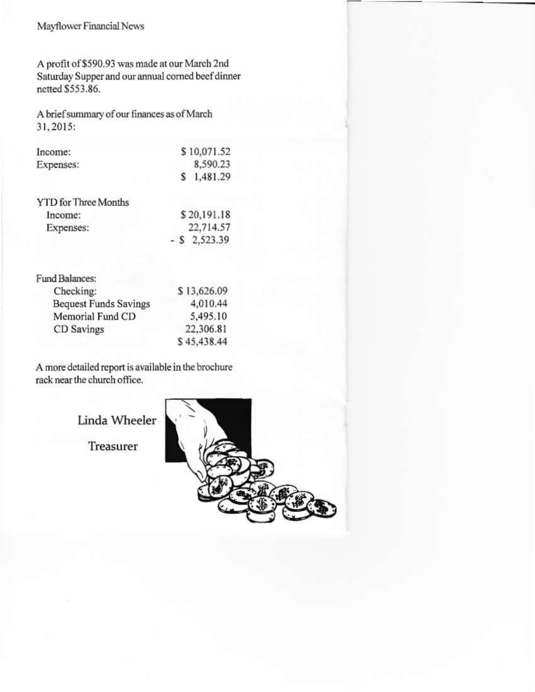#### Mayflower Financial News

A profit of \$590.93 was made at our March 2nd Saturday Supper and our annual corned beef dinner netted \$553.86.

A brief summary of our finances as of March 31, 2015:

| Income:                     | \$10,071.52 |
|-----------------------------|-------------|
| Expenses:                   | 8,590.23    |
|                             | \$1,481.29  |
| <b>YTD</b> for Three Months |             |
| Income:                     | \$20,191.18 |
| Expenses:                   | 22,714.57   |
|                             | 2.523.39    |

| <b>Fund Balances:</b>        |             |
|------------------------------|-------------|
| Checking:                    | \$13,626.09 |
| <b>Bequest Funds Savings</b> | 4,010.44    |
| Memorial Fund CD             | 5,495.10    |
| CD Savings                   | 22,306.81   |
|                              | \$45,438.44 |

A more detailed report is available in the brochure rack near the church office.

Linda Wheeler

Treasurer

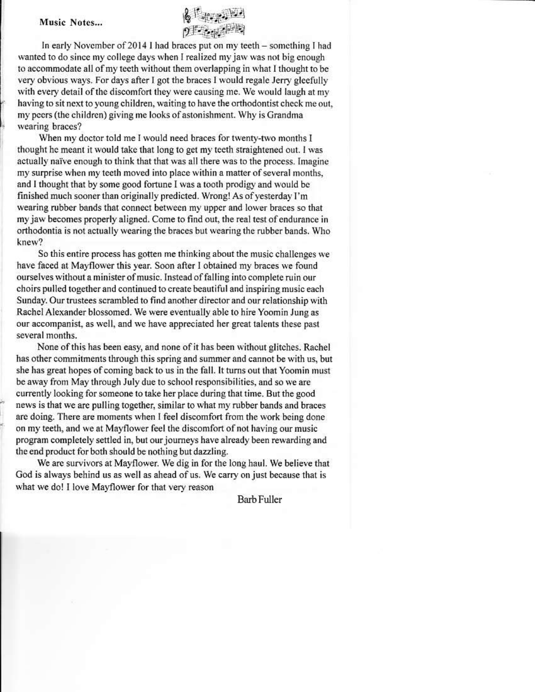#### Music Notes...



In early November of 2014 I had braces put on my teeth - something I had wanted to do since my college days when I realized my jaw was not big enough to accommodate all of my teeth without them overlapping in what I thought to be very obvious ways. For days after I got the braces I would regale Jerry gleefully with every detail of the discomfort they were causing me. We would laugh at my having to sit next to young children, waiting to have the orthodontist check me out, my peers (the children) giving me looks of astonishment. Why is Grandma wearing braces?

When my doctor told me I would need braces for twenty-two months I thought he meant it would take that long to get my teeth straightened out. I was actually naïve enough to think that that was all there was to the process. Imagine my surprise when my teeth moved into place within a matter of several months, and I thought that by some good fortune I was a tooth prodigy and would be finished much sooner than originally predicted. Wrong! As of vesterday I'm wearing rubber bands that connect between my upper and lower braces so that my jaw becomes properly aligned. Come to find out, the real test of endurance in orthodontia is not actually wearing the braces but wearing the rubber bands. Who knew?

So this entire process has gotten me thinking about the music challenges we have faced at Mayflower this year. Soon after I obtained my braces we found ourselves without a minister of music. Instead of falling into complete ruin our choirs pulled together and continued to create beautiful and inspiring music each Sunday. Our trustees scrambled to find another director and our relationship with Rachel Alexander blossomed. We were eventually able to hire Yoomin Jung as our accompanist, as well, and we have appreciated her great talents these past several months.

None of this has been easy, and none of it has been without glitches. Rachel has other commitments through this spring and summer and cannot be with us, but she has great hopes of coming back to us in the fall. It turns out that Yoomin must be away from May through July due to school responsibilities, and so we are currently looking for someone to take her place during that time. But the good news is that we are pulling together, similar to what my rubber bands and braces are doing. There are moments when I feel discomfort from the work being done on my teeth, and we at Mayflower feel the discomfort of not having our music program completely settled in, but our journeys have already been rewarding and the end product for both should be nothing but dazzling.

We are survivors at Mayflower. We dig in for the long haul. We believe that God is always behind us as well as ahead of us. We carry on just because that is what we do! I love Mayflower for that very reason

**Barb Fuller**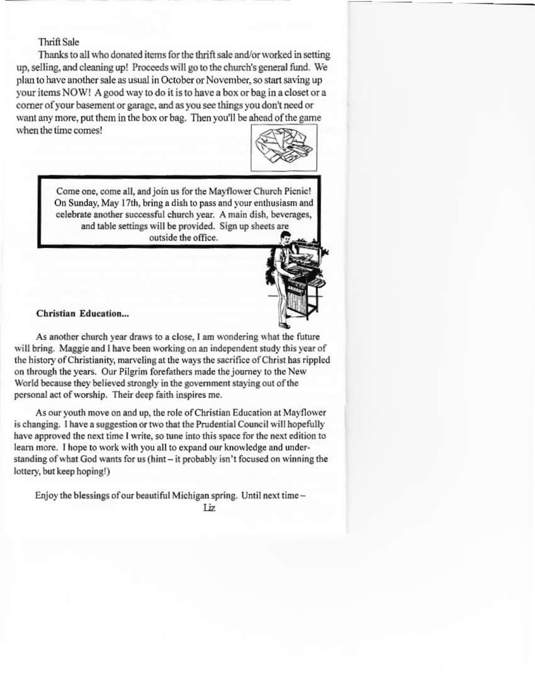#### Thrift Sale

Thanks to all who donated items for the thrift sale and/or worked in setting up, selling, and cleaning up! Proceeds will go to the church's general fund. We plan to have another sale as usual in October or November, so start saving up your items NOW! A good way to do it is to have a box or bag in a closet or a corner of your basement or garage, and as you see things you don't need or want any more, put them in the box or bag. Then you'll be ahead of the game when the time comes!



Come one, come all, and join us for the Mayflower Church Picnic! On Sunday, May 17th, bring a dish to pass and your enthusiasm and celebrate another successful church year. A main dish, beverages, and table settings will be provided. Sign up sheets are outside the office.

#### Christian Education...

As another church year draws to a close, I am wondering what the future will bring. Maggie and I have been working on an independent study this year of the history of Christianity, marveling at the ways the sacrifice of Christ has rippled on through the years. Our Pilgrim forefathers made the journey to the New World because they believed strongly in the government staying out of the personal act of worship. Their deep faith inspires me.

As our youth move on and up, the role of Christian Education at Mayflower is changing. I have a suggestion or two that the Prudential Council will hopefully have approved the next time I write, so tune into this space for the next edition to learn more. I hope to work with you all to expand our knowledge and understanding of what God wants for us (hint - it probably isn't focused on winning the lottery, but keep hoping!)

Enjoy the blessings of our beautiful Michigan spring. Until next time-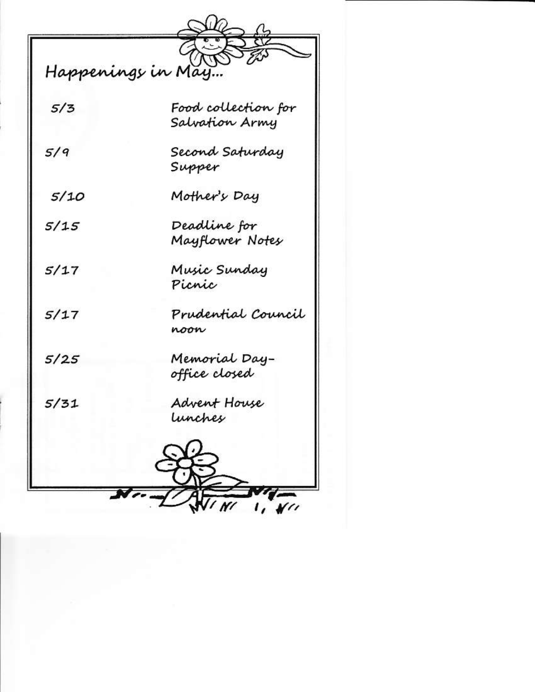